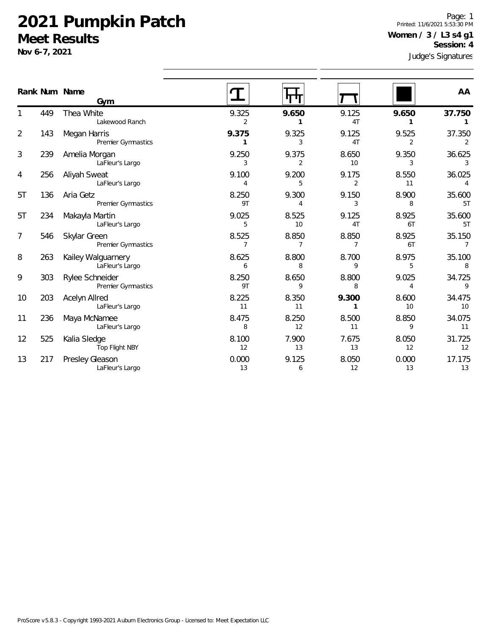Premier Gymnastics

LaFleur's Largo

LaFleur's Largo

Top Flight NBY

LaFleur's Largo

303 Rylee Schneider

236 Maya McNamee

217 Presley Gleason

203 Acelyn Allred

525 Kalia Sledge

**Nov 6-7, 2021**

1

2

3

4

5T

5T

7

8

9

10

11

12

13

Judge's Signatures Page: 1 Printed: 11/6/2021 5:53:30 PM **Women / 3 / L3 s4 g1 Session: 4**

|                |     | Gym                                   |             |             |                         |             |              |
|----------------|-----|---------------------------------------|-------------|-------------|-------------------------|-------------|--------------|
| Rank Num Name  |     |                                       |             |             |                         |             | AA           |
|                | 449 | Thea White<br>Lakewood Ranch          | 9.325       | 9.650       | 9.125<br>4T             | 9.650       | 37.750       |
| $\overline{2}$ | 143 | Megan Harris<br>Premier Gymnastics    | 9.375       | 9.325       | 9.125<br>4 <sub>T</sub> | 9.525       | 37.350       |
| 3              | 239 | Amelia Morgan<br>LaFleur's Largo      | 9.250<br>3  | 9.375       | 8.650<br>10             | 9.350<br>3  | 36.625       |
| 4              | 256 | Aliyah Sweat<br>LaFleur's Largo       | 9.100       | 9.200<br>5  | 9.175                   | 8.550<br>11 | 36.025       |
| 5T             | 136 | Aria Getz<br>Premier Gymnastics       | 8.250<br>9T | 9.300       | 9.150                   | 8.900<br>8  | 35.600<br>5T |
| 5T             | 234 | Makayla Martin<br>LaFleur's Largo     | 9.025<br>5  | 8.525<br>10 | 9.125<br>4 <sub>T</sub> | 8.925<br>6T | 35.600<br>5T |
| 7              | 546 | Skylar Green<br>Premier Gymnastics    | 8.525       | 8.850       | 8.850                   | 8.925<br>6T | 35.150       |
| 8              | 263 | Kailey Walguarnery<br>LaFleur's Largo | 8.625<br>6  | 8.800<br>8  | 8.700<br>9              | 8.975<br>5  | 35.100<br>8  |

8.250 8.650 8.800 9.025 34.725 9T 9 8 4 9

8.225 8.350 **9.300** 8.600 34.475 11 11 **1** 10 10

8.475 8.250 8.500 8.850 34.075 8 12 11 9 11

8.100 7.900 7.675 8.050 31.725 12 13 13 12 12

0.000 9.125 8.050 0.000 17.175 13 6 12 13 13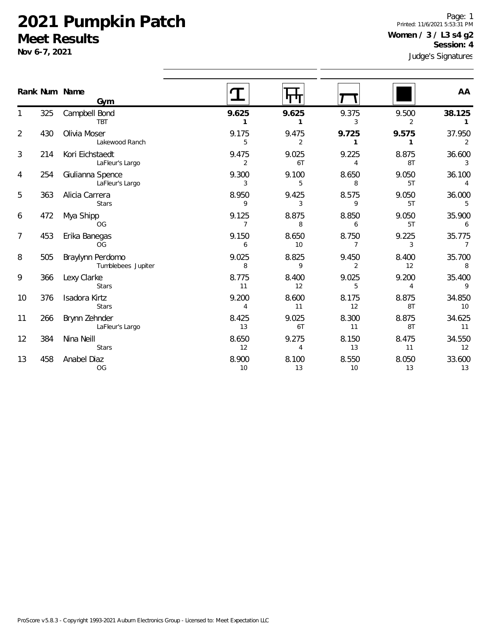Stars

OG

458 Anabel Diaz

**Nov 6-7,** 

8

13

Page: 1 Printed: 11/6/2021 5:53:31 PM **Women / 3 / L3 s4 g2 Session: 4**

|                | Nov 6-7, 2021 |                                        | Judge's Signatures      |                         |                         |                         |              |
|----------------|---------------|----------------------------------------|-------------------------|-------------------------|-------------------------|-------------------------|--------------|
|                |               | Rank Num Name<br>Gym                   |                         | <b>ulu</b>              |                         |                         | AA           |
|                | 325           | Campbell Bond<br><b>TBT</b>            | 9.625<br>1              | 9.625                   | 9.375<br>3              | 9.500<br>$\overline{2}$ | 38.125       |
| $\overline{2}$ | 430           | Olivia Moser<br>Lakewood Ranch         | 9.175<br>5              | 9.475<br>$\overline{2}$ | 9.725<br>1              | 9.575<br>1              | 37.950<br>2  |
| 3              | 214           | Kori Eichstaedt<br>LaFleur's Largo     | 9.475<br>2              | 9.025<br>6T             | 9.225<br>4              | 8.875<br>8T             | 36.600       |
| 4              | 254           | Giulianna Spence<br>LaFleur's Largo    | 9.300<br>3              | 9.100<br>5              | 8.650<br>8              | 9.050<br>5T             | 36.100<br>4  |
| 5              | 363           | Alicia Carrera<br><b>Stars</b>         | 8.950<br>9              | 9.425<br>3              | 8.575<br>9              | 9.050<br>5T             | 36.000<br>5  |
| 6              | 472           | Mya Shipp<br>OG                        | 9.125<br>$\overline{7}$ | 8.875<br>8              | 8.850<br>6              | 9.050<br>5T             | 35.900<br>6  |
| 7              | 453           | Erika Banegas<br>OG                    | 9.150<br>6              | 8.650<br>10             | 8.750<br>7              | 9.225<br>3              | 35.775<br>7  |
| 8              | 505           | Braylynn Perdomo<br>Tumblebees Jupiter | 9.025<br>8              | 8.825<br>9              | 9.450<br>$\overline{2}$ | 8.400<br>12             | 35.700<br>8  |
| 9              | 366           | Lexy Clarke<br><b>Stars</b>            | 8.775<br>11             | 8.400<br>12             | 9.025<br>5              | 9.200<br>4              | 35.400<br>9  |
| 10             | 376           | Isadora Kirtz<br><b>Stars</b>          | 9.200<br>4              | 8.600<br>11             | 8.175<br>12             | 8.875<br>8T             | 34.850<br>10 |
| 11             | 266           | Brynn Zehnder<br>LaFleur's Largo       | 8.425<br>13             | 9.025<br>6T             | 8.300<br>11             | 8.875<br>8T             | 34.625<br>11 |
| 12             | 384           | Nina Neill                             | 8.650                   | 9.275                   | 8.150                   | 8.475                   | 34.550       |

12 4 13 11 12

8.900 8.100 8.550 8.050 33.600 10 13 10 13 13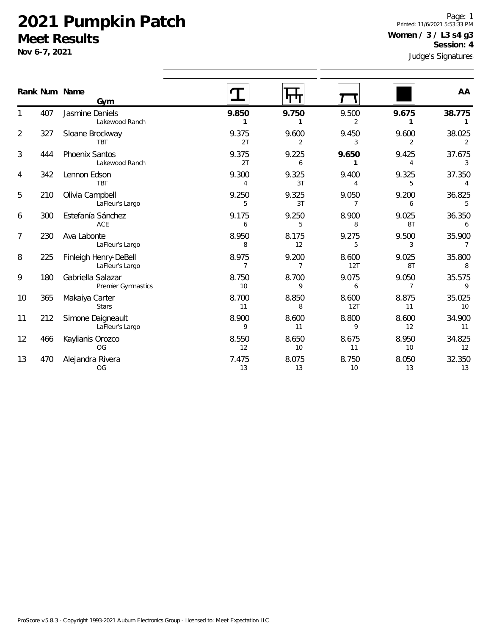**Nov 6-7, 2021**

1

2

3

4

5

6

7

8

9

10

11

12

13

470 Alejandra Rivera

OG

Jres Page: 1 Printed: 11/6/2021 5:53:33 PM **Women / 3 / L3 s4 g3 Session: 4**

|    | Nov 6-7, 2021 |                                          |                         |             |              |             | Judge's Signature        |  |
|----|---------------|------------------------------------------|-------------------------|-------------|--------------|-------------|--------------------------|--|
|    |               | Rank Num Name<br>Gym                     | T                       | पण          |              |             | AA                       |  |
| 1  | 407           | Jasmine Daniels<br>Lakewood Ranch        | 9.850                   | 9.750<br>1  | 9.500<br>2   | 9.675       | 38.775<br>$\mathbf{1}$   |  |
| 2  | 327           | Sloane Brockway<br><b>TBT</b>            | 9.375<br>2T             | 9.600<br>2  | 9.450<br>3   | 9.600<br>2  | 38.025<br>2              |  |
| 3  | 444           | <b>Phoenix Santos</b><br>Lakewood Ranch  | 9.375<br>2T             | 9.225<br>6  | 9.650        | 9.425<br>4  | 37.675<br>3              |  |
| 4  | 342           | Lennon Edson<br><b>TBT</b>               | 9.300<br>4              | 9.325<br>3T | 9.400        | 9.325<br>5  | 37.350<br>4              |  |
| 5  | 210           | Olivia Campbell<br>LaFleur's Largo       | 9.250<br>5              | 9.325<br>3T | 9.050        | 9.200<br>6  | 36.825<br>5              |  |
| 6  | 300           | Estefanía Sánchez<br>ACE                 | 9.175<br>6              | 9.250<br>5  | 8.900<br>8   | 9.025<br>8T | 36.350<br>6              |  |
| 7  | 230           | Ava Labonte<br>LaFleur's Largo           | 8.950<br>8              | 8.175<br>12 | 9.275<br>5   | 9.500<br>3  | 35.900<br>$\overline{7}$ |  |
| 8  | 225           | Finleigh Henry-DeBell<br>LaFleur's Largo | 8.975<br>$\overline{7}$ | 9.200<br>7  | 8.600<br>12T | 9.025<br>8T | 35.800<br>8              |  |
| 9  | 180           | Gabriella Salazar<br>Premier Gymnastics  | 8.750<br>10             | 8.700<br>9  | 9.075<br>6   | 9.050<br>7  | 35.575<br>9              |  |
| 10 | 365           | Makaiya Carter<br><b>Stars</b>           | 8.700<br>11             | 8.850<br>8  | 8.600<br>12T | 8.875<br>11 | 35.025<br>10             |  |
| 11 | 212           | Simone Daigneault<br>LaFleur's Largo     | 8.900<br>9              | 8.600<br>11 | 8.800<br>9   | 8.600<br>12 | 34.900<br>11             |  |
| 12 | 466           | Kaylianis Orozco<br>OG                   | 8.550<br>12             | 8.650<br>10 | 8.675<br>11  | 8.950<br>10 | 34.825<br>12             |  |

7.475 8.075 8.750 8.050 32.350 13 13 10 13 13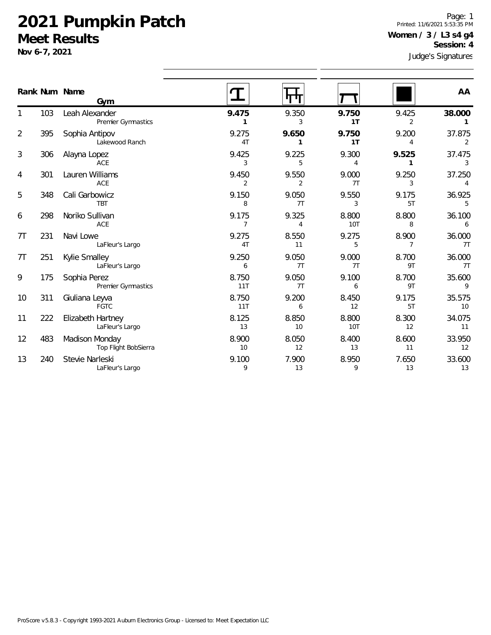**Nov 6-7, 2021**

1

2

3

4

5

6

7T

7T

9

10

11

12

13

240 Stevie Narleski

LaFleur's Largo

Judge's Signatures Page: 1 Printed: 11/6/2021 5:53:35 PM **Women / 3 / L3 s4 g4 Session: 4**

|                |     |                                        |                         |                         |                         |                         | Judge s Signatures       |
|----------------|-----|----------------------------------------|-------------------------|-------------------------|-------------------------|-------------------------|--------------------------|
|                |     | Rank Num Name<br>Gym                   |                         | पाग                     |                         |                         | AA                       |
| 1              | 103 | Leah Alexander<br>Premier Gymnastics   | 9.475<br>1              | 9.350<br>3              | 9.750<br>1T             | 9.425<br>2              | 38.000<br>1              |
| $\overline{2}$ | 395 | Sophia Antipov<br>Lakewood Ranch       | 9.275<br>4T             | 9.650<br>1              | 9.750<br>1 <sub>T</sub> | 9.200<br>4              | 37.875<br>2              |
| 3              | 306 | Alayna Lopez<br><b>ACE</b>             | 9.425<br>3              | 9.225<br>5              | 9.300<br>$\overline{4}$ | 9.525<br>1              | 37.475<br>3              |
| 4              | 301 | Lauren Williams<br>ACE                 | 9.450<br>$\overline{2}$ | 9.550<br>2              | 9.000<br>7T             | 9.250<br>3              | 37.250<br>$\overline{4}$ |
| 5              | 348 | Cali Garbowicz<br><b>TBT</b>           | 9.150<br>8              | 9.050<br>7T             | 9.550<br>3              | 9.175<br>5T             | 36.925<br>5              |
| 6              | 298 | Noriko Sullivan<br>ACE                 | 9.175<br>7              | 9.325<br>$\overline{4}$ | 8.800<br>10T            | 8.800<br>8              | 36.100<br>6              |
| <b>7T</b>      | 231 | Navi Lowe<br>LaFleur's Largo           | 9.275<br>4T             | 8.550<br>11             | 9.275<br>5              | 8.900<br>$\overline{7}$ | 36.000<br>7T             |
| 7 <sub>T</sub> | 251 | Kylie Smalley<br>LaFleur's Largo       | 9.250<br>6              | 9.050<br>7T             | 9.000<br>7T             | 8.700<br>9T             | 36.000<br>7T             |
| 9              | 175 | Sophia Perez<br>Premier Gymnastics     | 8.750<br>11T            | 9.050<br>7T             | 9.100<br>6              | 8.700<br>9T             | 35.600<br>9              |
| 10             | 311 | Giuliana Leyva<br><b>FGTC</b>          | 8.750<br>11T            | 9.200<br>6              | 8.450<br>12             | 9.175<br>5T             | 35.575<br>10             |
| 11             | 222 | Elizabeth Hartney<br>LaFleur's Largo   | 8.125<br>13             | 8.850<br>10             | 8.800<br><b>10T</b>     | 8.300<br>12             | 34.075<br>11             |
| 12             | 483 | Madison Monday<br>Top Flight BobSierra | 8.900<br>10             | 8.050<br>12             | 8.400<br>13             | 8.600<br>11             | 33.950<br>12             |
|                |     |                                        |                         |                         |                         |                         |                          |

9.100 7.900 8.950 7.650 33.600 9 13 9 13 13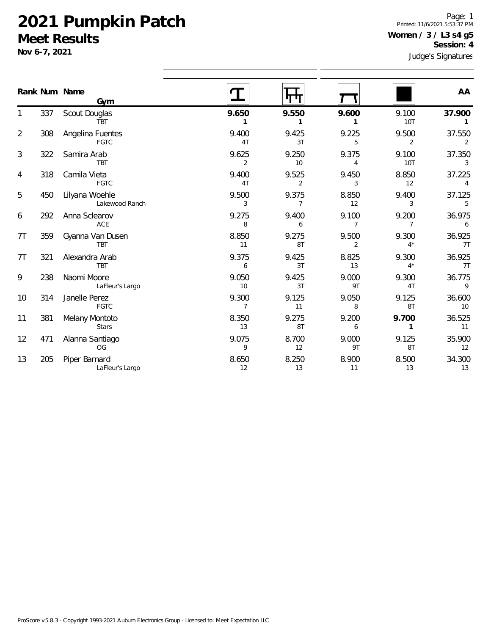FGTC

Stars

OG

LaFleur's Largo

314 Janelle Perez

381 Melany Montoto

471 Alanna Santiago

205 Piper Barnard

**Nov 6-7, 2021**

1

2

3

4

5

6

7T

7T

9

10

11

12

13

Judge's Signatures Page: 1 Printed: 11/6/2021 5:53:37 PM **Women / 3 / L3 s4 g5 Session: 4**

|                |     | Rank Num Name<br>Gym             |             |             |             |                | AA           |
|----------------|-----|----------------------------------|-------------|-------------|-------------|----------------|--------------|
|                | 337 | Scout Douglas<br><b>TBT</b>      | 9.650       | 9.550       | 9.600       | 9.100<br>10T   | 37.900       |
| $\overline{2}$ | 308 | Angelina Fuentes<br><b>FGTC</b>  | 9.400<br>4T | 9.425<br>3T | 9.225<br>5  | 9.500<br>2     | 37.550<br>2  |
| 3              | 322 | Samira Arab<br><b>TBT</b>        | 9.625<br>2  | 9.250<br>10 | 9.375       | 9.100<br>10T   | 37.350       |
| 4              | 318 | Camila Vieta<br>FGTC             | 9.400<br>4T | 9.525<br>2  | 9.450<br>3  | 8.850<br>12    | 37.225<br>4  |
| 5              | 450 | Lilyana Woehle<br>Lakewood Ranch | 9.500<br>3  | 9.375       | 8.850<br>12 | 9.400<br>3     | 37.125<br>5  |
| 6              | 292 | Anna Sclearov<br>ACE             | 9.275<br>8  | 9.400<br>6  | 9.100       | 9.200          | 36.975<br>6  |
| 7Τ             | 359 | Gyanna Van Dusen<br><b>TBT</b>   | 8.850<br>11 | 9.275<br>8T | 9.500<br>2  | 9.300<br>$4^*$ | 36.925<br>7T |
| <b>7T</b>      | 321 | Alexandra Arab<br>TBT            | 9.375<br>6  | 9.425<br>3T | 8.825<br>13 | 9.300<br>$4^*$ | 36.925<br>7T |
| 9              | 238 | Naomi Moore<br>LaFleur's Largo   | 9.050<br>10 | 9.425<br>3T | 9.000<br>9T | 9.300<br>4T    | 36.775<br>9  |
|                |     |                                  |             |             |             |                |              |

9.300 9.125 9.050 9.125 36.600 7 11 8 8T 10

8.350 9.275 9.200 **9.700** 36.525 13 8T 6 **1** 11

9.075 8.700 9.000 9.125 35.900 9 12 9T 8T 12

8.650 8.250 8.900 8.500 34.300 12 13 11 13 13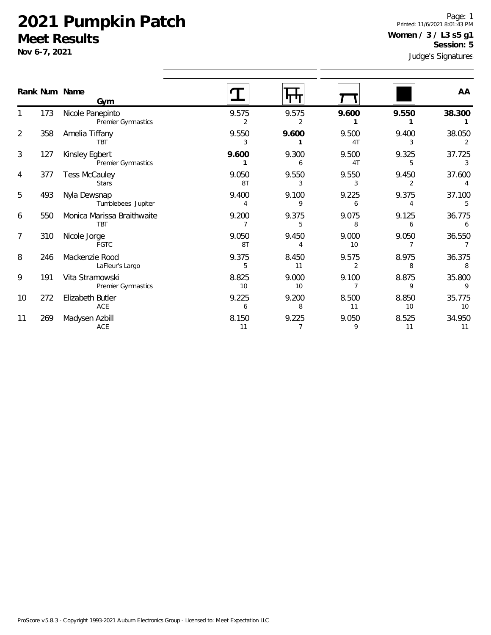**Nov 6-7, 2021**

1

2

3

4

5

6

7

8

9

10

11

Judge's Signatures Page: 1 Printed: 11/6/2021 8:01:43 PM **Women / 3 / L3 s5 g1 Session: 5**

| Rank Num Name  |     | Gym                                           |                         |                         |                         |             | AA           |
|----------------|-----|-----------------------------------------------|-------------------------|-------------------------|-------------------------|-------------|--------------|
|                | 173 | Nicole Panepinto<br><b>Premier Gymnastics</b> | 9.575<br>$\overline{2}$ | 9.575<br>2              | 9.600                   | 9.550       | 38.300       |
| $\overline{2}$ | 358 | Amelia Tiffany<br><b>TBT</b>                  | 9.550<br>3              | 9.600                   | 9.500<br>4T             | 9.400<br>3  | 38.050       |
| 3              | 127 | Kinsley Egbert<br><b>Premier Gymnastics</b>   | 9.600                   | 9.300                   | 9.500<br>4T             | 9.325<br>5  | 37.725<br>3  |
| 4              | 377 | <b>Tess McCauley</b><br><b>Stars</b>          | 9.050<br>8T             | 9.550<br>3              | 9.550<br>3              | 9.450<br>2  | 37.600       |
| 5              | 493 | Nyla Dewsnap<br>Tumblebees Jupiter            | 9.400<br>4              | 9.100<br>9              | 9.225<br>6              | 9.375<br>4  | 37.100<br>5  |
| 6              | 550 | Monica Marissa Braithwaite<br><b>TBT</b>      | 9.200                   | 9.375<br>5              | 9.075<br>8              | 9.125<br>6  | 36.775       |
| 7              | 310 | Nicole Jorge<br><b>FGTC</b>                   | 9.050<br>8T             | 9.450<br>4              | 9.000<br>10             | 9.050<br>7  | 36.550       |
| 8              | 246 | Mackenzie Rood<br>LaFleur's Largo             | 9.375<br>5              | 8.450<br>11             | 9.575<br>$\overline{2}$ | 8.975<br>8  | 36.375       |
| 9              | 191 | Vita Stramowski<br><b>Premier Gymnastics</b>  | 8.825<br>10             | 9.000<br>10             | 9.100<br>7              | 8.875<br>9  | 35.800<br>9  |
| 10             | 272 | Elizabeth Butler<br>ACE                       | 9.225<br>6              | 9.200<br>8              | 8.500<br>11             | 8.850<br>10 | 35.775<br>10 |
| 11             | 269 | Madysen Azbill<br>ACE                         | 8.150<br>11             | 9.225<br>$\overline{7}$ | 9.050<br>9              | 8.525<br>11 | 34.950<br>11 |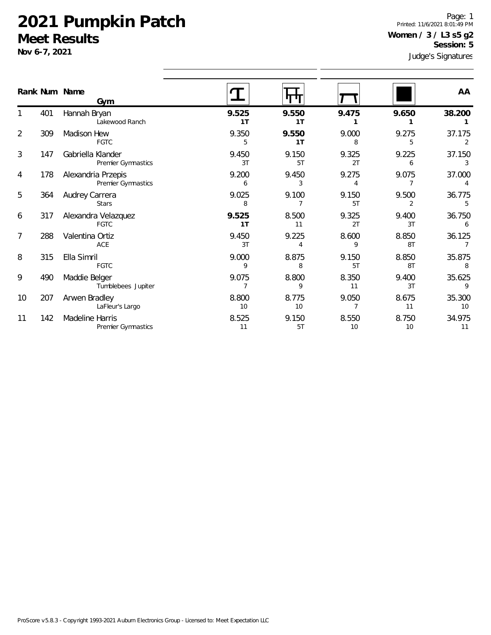**Nov 6-7, 2021**

1

2

3

4

5

6

7

8

9

10

11

Page: 1 Printed: 11/6/2021 8:01:49 PM **Women / 3 / L3 s5 g2 Session: 5**

|                | Nov 6-7, 2021 |                                              |             |                         |             |                         | Judge's Signatures |  |
|----------------|---------------|----------------------------------------------|-------------|-------------------------|-------------|-------------------------|--------------------|--|
|                |               | Rank Num Name<br>Gym                         |             |                         |             |                         | AA                 |  |
|                | 401           | Hannah Bryan<br>Lakewood Ranch               | 9.525<br>1T | 9.550<br>1T             | 9.475       | 9.650                   | 38.200             |  |
| $\overline{2}$ | 309           | Madison Hew<br><b>FGTC</b>                   | 9.350<br>5  | 9.550<br>1T             | 9.000<br>8  | 9.275<br>5              | 37.175<br>2        |  |
| 3              | 147           | Gabriella Klander<br>Premier Gymnastics      | 9.450<br>3T | 9.150<br>5T             | 9.325<br>2T | 9.225<br>6              | 37.150<br>3        |  |
| 4              | 178           | Alexandria Przepis<br>Premier Gymnastics     | 9.200<br>6  | 9.450<br>3              | 9.275<br>4  | 9.075<br>7              | 37.000             |  |
| 5              | 364           | Audrey Carrera<br><b>Stars</b>               | 9.025<br>8  | 9.100<br>7              | 9.150<br>5T | 9.500<br>$\overline{2}$ | 36.775<br>5        |  |
| 6              | 317           | Alexandra Velazquez<br><b>FGTC</b>           | 9.525<br>1T | 8.500<br>11             | 9.325<br>2T | 9.400<br>3T             | 36.750<br>6        |  |
| 7              | 288           | Valentina Ortiz<br>ACE                       | 9.450<br>3T | 9.225<br>$\overline{4}$ | 8.600<br>9  | 8.850<br>8T             | 36.125<br>7        |  |
| 8              | 315           | Ella Simril<br><b>FGTC</b>                   | 9.000<br>9  | 8.875<br>8              | 9.150<br>5T | 8.850<br>8T             | 35.875<br>8        |  |
| 9              | 490           | Maddie Belger<br>Tumblebees Jupiter          | 9.075<br>7  | 8.800<br>9              | 8.350<br>11 | 9.400<br>3T             | 35.625<br>9        |  |
| 10             | 207           | Arwen Bradley<br>LaFleur's Largo             | 8.800<br>10 | 8.775<br>10             | 9.050<br>7  | 8.675<br>11             | 35.300<br>10       |  |
| 11             | 142           | <b>Madeline Harris</b><br>Premier Gymnastics | 8.525<br>11 | 9.150<br>5T             | 8.550<br>10 | 8.750<br>10             | 34.975<br>11       |  |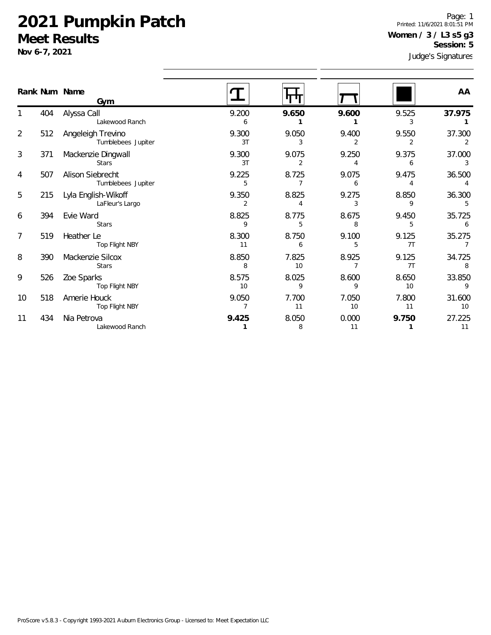Lakewood Ranch

**Nov 6-7, 2021**

1

2

3

4

5

6

7

8

9

10

11

Judge's Signatures Page: 1 Printed: 11/6/2021 8:01:51 PM **Women / 3 / L3 s5 g3 Session: 5**

**1** 8 11 **1** 11

|    |     |                                         |             |             | Judge s Signatures |             |              |  |
|----|-----|-----------------------------------------|-------------|-------------|--------------------|-------------|--------------|--|
|    |     | Rank Num Name<br>Gym                    |             |             |                    |             | AA           |  |
|    | 404 | Alyssa Call<br>Lakewood Ranch           | 9.200<br>6  | 9.650       | 9.600              | 9.525<br>3  | 37.975       |  |
| 2  | 512 | Angeleigh Trevino<br>Tumblebees Jupiter | 9.300<br>3T | 9.050<br>3  | 9.400<br>2         | 9.550<br>2  | 37.300<br>2  |  |
| 3  | 371 | Mackenzie Dingwall<br><b>Stars</b>      | 9.300<br>3T | 9.075<br>2  | 9.250<br>4         | 9.375<br>6  | 37.000<br>3  |  |
| 4  | 507 | Alison Siebrecht<br>Tumblebees Jupiter  | 9.225<br>5  | 8.725       | 9.075<br>6         | 9.475<br>4  | 36.500       |  |
| 5  | 215 | Lyla English-Wikoff<br>LaFleur's Largo  | 9.350<br>2  | 8.825<br>4  | 9.275<br>3         | 8.850<br>9  | 36.300<br>5  |  |
| 6  | 394 | Evie Ward<br><b>Stars</b>               | 8.825<br>9  | 8.775<br>5  | 8.675<br>8         | 9.450<br>5  | 35.725<br>6  |  |
| 7  | 519 | Heather Le<br>Top Flight NBY            | 8.300<br>11 | 8.750<br>6  | 9.100<br>5         | 9.125<br>7T | 35.275       |  |
| 8  | 390 | Mackenzie Silcox<br><b>Stars</b>        | 8.850<br>8  | 7.825<br>10 | 8.925              | 9.125<br>7T | 34.725       |  |
| 9  | 526 | Zoe Sparks<br>Top Flight NBY            | 8.575<br>10 | 8.025<br>9  | 8.600<br>9         | 8.650<br>10 | 33.850<br>9  |  |
| 10 | 518 | Amerie Houck<br>Top Flight NBY          | 9.050       | 7.700<br>11 | 7.050<br>10        | 7.800<br>11 | 31.600<br>10 |  |
| 11 | 434 | Nia Petrova                             | 9.425       | 8.050       | 0.000              | 9.750       | 27.225       |  |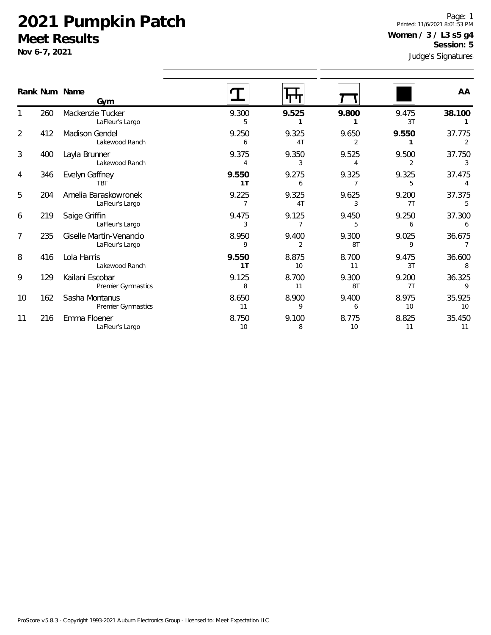**Nov 6-7, 2021**

Judge's Signatures Page: 1 Printed: 11/6/2021 8:01:53 PM **Women / 3 / L3 s5 g4 Session: 5**

|                |     | Rank Num Name<br>Gvm                         |                         |                         |             |                         | AA           |
|----------------|-----|----------------------------------------------|-------------------------|-------------------------|-------------|-------------------------|--------------|
|                | 260 | Mackenzie Tucker<br>LaFleur's Largo          | 9.300<br>5              | 9.525                   | 9.800       | 9.475<br>3T             | 38.100       |
| $\overline{2}$ | 412 | Madison Gendel<br>Lakewood Ranch             | 9.250<br>6              | 9.325<br>4T             | 9.650<br>2  | 9.550                   | 37.775<br>2  |
| 3              | 400 | Layla Brunner<br>Lakewood Ranch              | 9.375<br>4              | 9.350<br>3              | 9.525<br>4  | 9.500<br>$\overline{2}$ | 37.750<br>3  |
| 4              | 346 | Evelyn Gaffney<br><b>TBT</b>                 | 9.550<br>1 <sub>T</sub> | 9.275<br>6              | 9.325       | 9.325<br>5              | 37.475<br>4  |
| 5              | 204 | Amelia Baraskowronek<br>LaFleur's Largo      | 9.225                   | 9.325<br>4T             | 9.625<br>3  | 9.200<br>7T             | 37.375<br>5  |
| 6              | 219 | Saige Griffin<br>LaFleur's Largo             | 9.475<br>3              | 9.125<br>7              | 9.450<br>5  | 9.250<br>6              | 37.300<br>6  |
| $\overline{7}$ | 235 | Giselle Martin-Venancio<br>LaFleur's Largo   | 8.950<br>9              | 9.400<br>$\overline{2}$ | 9.300<br>8T | 9.025<br>9              | 36.675       |
| 8              | 416 | Lola Harris<br>Lakewood Ranch                | 9.550<br>1T             | 8.875<br>10             | 8.700<br>11 | 9.475<br>3T             | 36.600<br>8  |
| 9              | 129 | Kailani Escobar<br><b>Premier Gymnastics</b> | 9.125<br>8              | 8.700<br>11             | 9.300<br>8T | 9.200<br>7T             | 36.325<br>9  |
| 10             | 162 | Sasha Montanus<br>Premier Gymnastics         | 8.650<br>11             | 8.900<br>9              | 9.400<br>6  | 8.975<br>10             | 35.925<br>10 |
| 11             | 216 | Emma Floener<br>LaFleur's Largo              | 8.750<br>10             | 9.100<br>8              | 8.775<br>10 | 8.825<br>11             | 35.450<br>11 |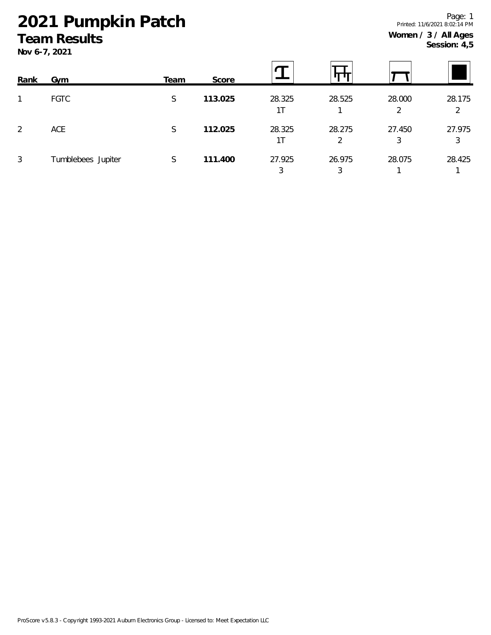# **2021 Pumpkin Patch**

## **Team Results**

**Nov 6-7, 2021**

| Rank | Gym                | Team | Score   |              |             |             |             |
|------|--------------------|------|---------|--------------|-------------|-------------|-------------|
| 1    | <b>FGTC</b>        | S    | 113.025 | 28.325<br>1T | 28.525      | 28.000<br>2 | 28.175<br>2 |
| 2    | ACE                | S    | 112.025 | 28.325<br>1T | 28.275<br>2 | 27.450<br>3 | 27.975<br>3 |
| 3    | Tumblebees Jupiter | S    | 111.400 | 27.925       | 26.975      | 28.075      | 28.425      |